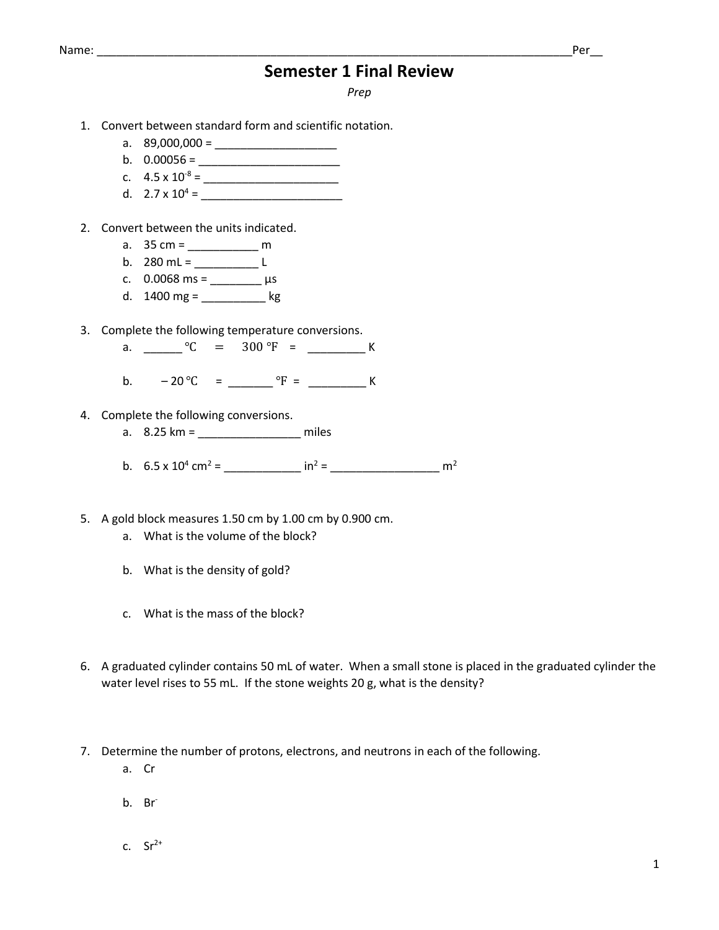### Name: \_\_\_\_\_\_\_\_\_\_\_\_\_\_\_\_\_\_\_\_\_\_\_\_\_\_\_\_\_\_\_\_\_\_\_\_\_\_\_\_\_\_\_\_\_\_\_\_\_\_\_\_\_\_\_\_\_\_\_\_\_\_\_\_\_\_\_\_\_\_\_\_\_\_Per\_\_

## **Semester 1 Final Review**

*Prep*

- 1. Convert between standard form and scientific notation.
	- a.  $89,000,000 =$
	- b. 0.00056 = \_\_\_\_\_\_\_\_\_\_\_\_\_\_\_\_\_\_\_\_\_\_
	- c.  $4.5 \times 10^{-8} =$
	- d.  $2.7 \times 10^4$  =
- 2. Convert between the units indicated.
	- a. 35 cm = \_\_\_\_\_\_\_\_\_\_\_ m
	- b.  $280 \text{ mL} =$  \_\_\_\_\_\_\_\_\_\_\_\_\_ L
	- c. 0.0068 ms = \_\_\_\_\_\_\_\_ µs
	- d.  $1400 \text{ mg} =$  \_\_\_\_\_\_\_\_\_\_\_\_\_ kg
- 3. Complete the following temperature conversions.
	- a. \_\_\_\_\_\_\_\_ °C = 300 °F = \_\_\_\_\_\_\_\_\_\_ K
	- b. 20 ℃ = \_\_\_\_\_\_\_ ℉ = \_\_\_\_\_\_\_\_\_ K
- 4. Complete the following conversions.
	- a. 8.25 km = \_\_\_\_\_\_\_\_\_\_\_\_\_\_\_\_ miles
	- b.  $6.5 \times 10^4$  cm<sup>2</sup> = \_\_\_\_\_\_\_\_\_\_\_\_\_ in<sup>2</sup> = \_\_\_\_\_\_\_\_\_\_\_\_\_\_\_\_\_\_\_\_\_\_\_ m<sup>2</sup>
- 5. A gold block measures 1.50 cm by 1.00 cm by 0.900 cm.
	- a. What is the volume of the block?
	- b. What is the density of gold?
	- c. What is the mass of the block?
- 6. A graduated cylinder contains 50 mL of water. When a small stone is placed in the graduated cylinder the water level rises to 55 mL. If the stone weights 20 g, what is the density?
- 7. Determine the number of protons, electrons, and neutrons in each of the following.
	- a. Cr
	- b. Br
	- c.  $Sr^{2+}$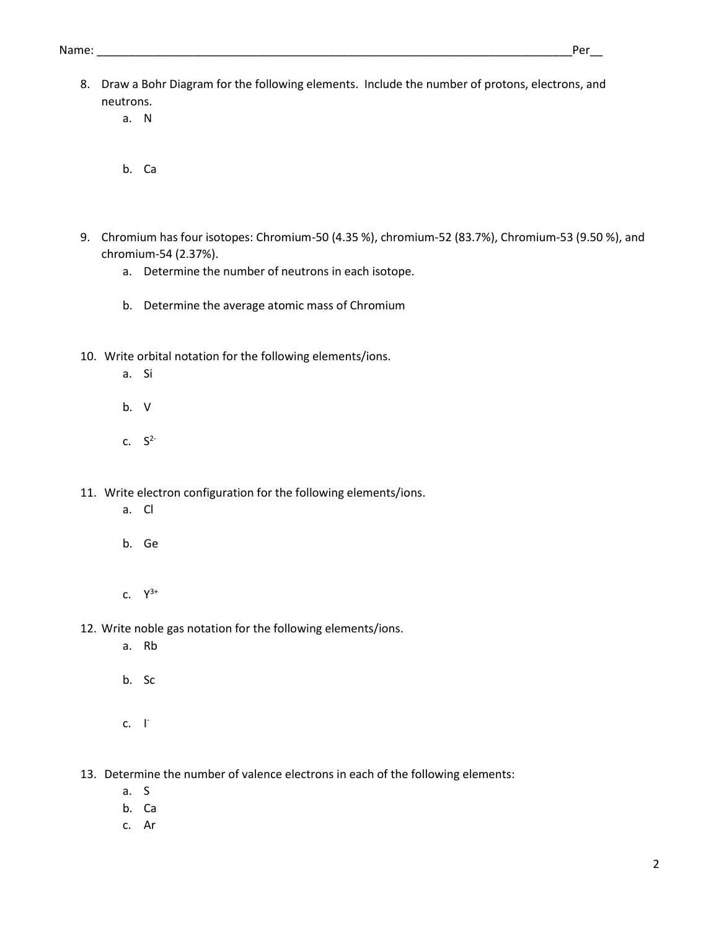- 8. Draw a Bohr Diagram for the following elements. Include the number of protons, electrons, and neutrons.
	- a. N
	- b. Ca
- 9. Chromium has four isotopes: Chromium-50 (4.35 %), chromium-52 (83.7%), Chromium-53 (9.50 %), and chromium-54 (2.37%).
	- a. Determine the number of neutrons in each isotope.
	- b. Determine the average atomic mass of Chromium
- 10. Write orbital notation for the following elements/ions.
	- a. Si
	- b. V
	- c.  $S^2$
- 11. Write electron configuration for the following elements/ions.
	- a. Cl
	- b. Ge
	- c.  $Y^{3+}$
- 12. Write noble gas notation for the following elements/ions.
	- a. Rb
	- b. Sc
	- $c. \quad \Gamma$

13. Determine the number of valence electrons in each of the following elements:

- a. S
- b. Ca
- c. Ar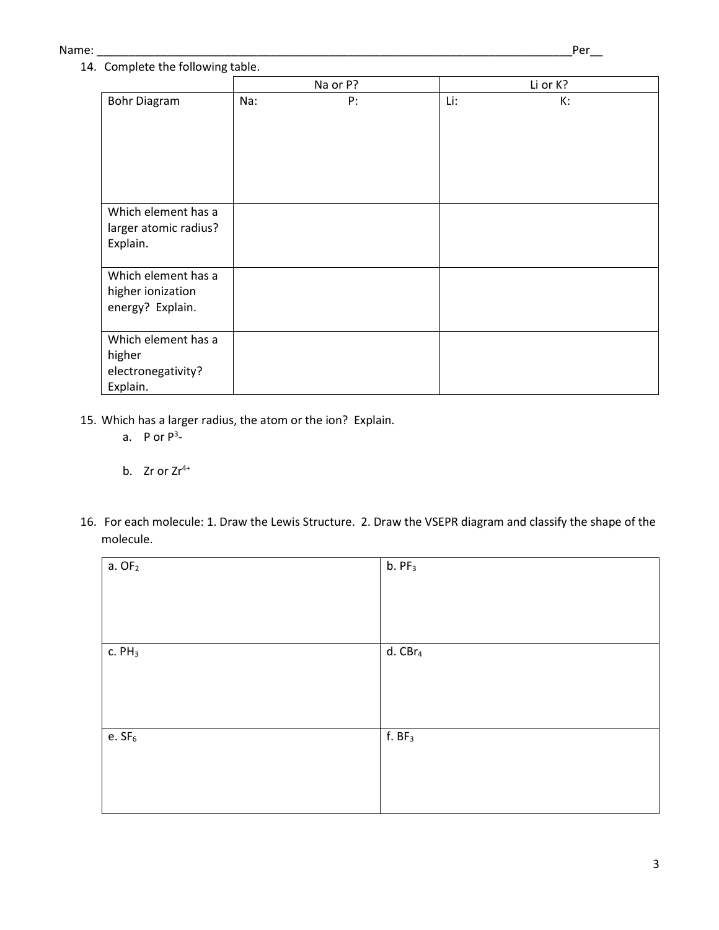#### Name: \_\_\_\_\_\_\_\_\_\_\_\_\_\_\_\_\_\_\_\_\_\_\_\_\_\_\_\_\_\_\_\_\_\_\_\_\_\_\_\_\_\_\_\_\_\_\_\_\_\_\_\_\_\_\_\_\_\_\_\_\_\_\_\_\_\_\_\_\_\_\_\_\_\_Per\_\_

# 14. Complete the following table.

|                                                                 |     | Na or P? |     | Li or K? |
|-----------------------------------------------------------------|-----|----------|-----|----------|
| <b>Bohr Diagram</b>                                             | Na: | P:       | Li: | К:       |
| Which element has a<br>larger atomic radius?<br>Explain.        |     |          |     |          |
| Which element has a<br>higher ionization<br>energy? Explain.    |     |          |     |          |
| Which element has a<br>higher<br>electronegativity?<br>Explain. |     |          |     |          |

- 15. Which has a larger radius, the atom or the ion? Explain.
	- a. P or  $P^3$ -
	- b. Zr or  $Zr^{4+}$
- 16. For each molecule: 1. Draw the Lewis Structure. 2. Draw the VSEPR diagram and classify the shape of the molecule.

| $a.$ OF $2$  | $b.$ PF $_3$        |
|--------------|---------------------|
|              |                     |
|              |                     |
|              |                     |
| $c.$ PH $_3$ | d. CBr <sub>4</sub> |
|              |                     |
|              |                     |
|              |                     |
| e. $SF6$     | f. BF <sub>3</sub>  |
|              |                     |
|              |                     |
|              |                     |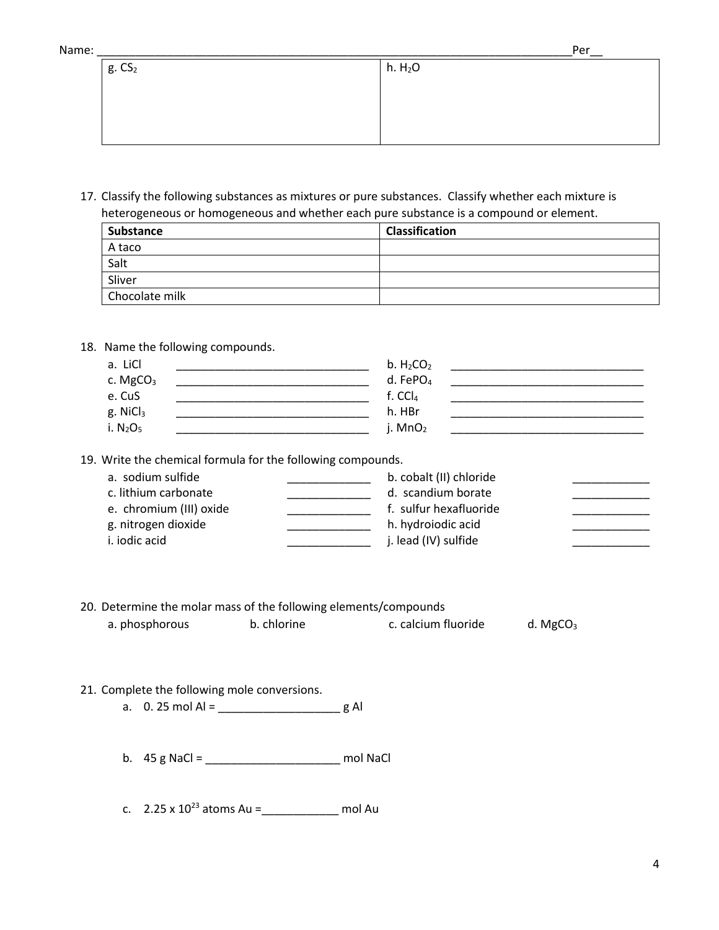| ٨ | งลm |  | ۴ |  |
|---|-----|--|---|--|
|   |     |  |   |  |

| Name:       |                     | Per |
|-------------|---------------------|-----|
| $g. \, CS2$ | h. H <sub>2</sub> O |     |
|             |                     |     |
|             |                     |     |
|             |                     |     |
|             |                     |     |

17. Classify the following substances as mixtures or pure substances. Classify whether each mixture is heterogeneous or homogeneous and whether each pure substance is a compound or element.

| Substance      | <b>Classification</b> |
|----------------|-----------------------|
| A taco         |                       |
| Salt           |                       |
| Sliver         |                       |
| Chocolate milk |                       |

### 18. Name the following compounds.

| a. LiCl              | b. $H_2CO_2$         |  |
|----------------------|----------------------|--|
| c. MgCO <sub>3</sub> | d. FePO <sub>4</sub> |  |
| e. CuS               | f. $CCI4$            |  |
| g. NiCl <sub>3</sub> | h. HBr               |  |
| i. $N_2O_5$          | j. $MnO2$            |  |

19. Write the chemical formula for the following compounds.

| a. sodium sulfide       | b. cobalt (II) chloride |  |
|-------------------------|-------------------------|--|
| c. lithium carbonate    | d. scandium borate      |  |
| e. chromium (III) oxide | f. sulfur hexafluoride  |  |
| g. nitrogen dioxide     | h. hydroiodic acid      |  |
| i. iodic acid           | j. lead (IV) sulfide    |  |
|                         |                         |  |

### 20. Determine the molar mass of the following elements/compounds a. phosphorous b. chlorine b. chlorine c. calcium fluoride d. MgCO<sub>3</sub>

- 21. Complete the following mole conversions.
	- a. 0. 25 mol Al = \_\_\_\_\_\_\_\_\_\_\_\_\_\_\_\_\_\_\_ g Al
	- b. 45 g NaCl = \_\_\_\_\_\_\_\_\_\_\_\_\_\_\_\_\_\_\_\_\_ mol NaCl
	- c.  $2.25 \times 10^{23}$  atoms Au = \_\_\_\_\_\_\_\_\_\_\_\_\_\_\_\_ mol Au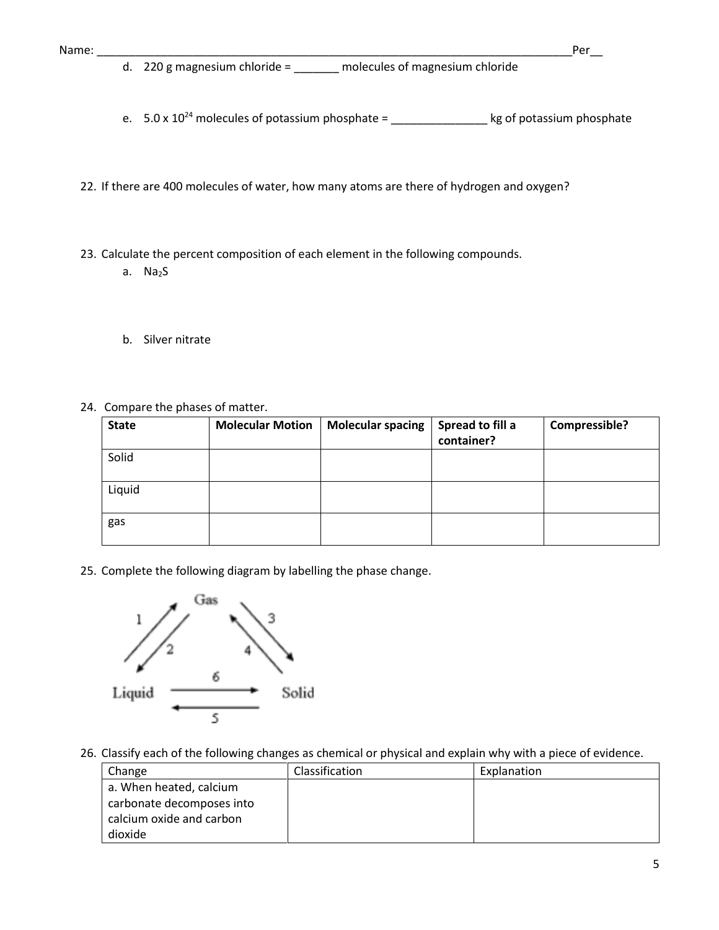- e.  $5.0 \times 10^{24}$  molecules of potassium phosphate = \_\_\_\_\_\_\_\_\_\_\_\_\_\_\_\_\_\_\_\_\_\_\_ kg of potassium phosphate
- 22. If there are 400 molecules of water, how many atoms are there of hydrogen and oxygen?
- 23. Calculate the percent composition of each element in the following compounds.
	- a. Na2S
	- b. Silver nitrate
- 24. Compare the phases of matter.

| <b>State</b> | <b>Molecular Motion</b> | <b>Molecular spacing</b> | Spread to fill a<br>container? | Compressible? |
|--------------|-------------------------|--------------------------|--------------------------------|---------------|
| Solid        |                         |                          |                                |               |
| Liquid       |                         |                          |                                |               |
| gas          |                         |                          |                                |               |

25. Complete the following diagram by labelling the phase change.



26. Classify each of the following changes as chemical or physical and explain why with a piece of evidence.

| Change                    | Classification | Explanation |
|---------------------------|----------------|-------------|
| a. When heated, calcium   |                |             |
| carbonate decomposes into |                |             |
| calcium oxide and carbon  |                |             |
| dioxide                   |                |             |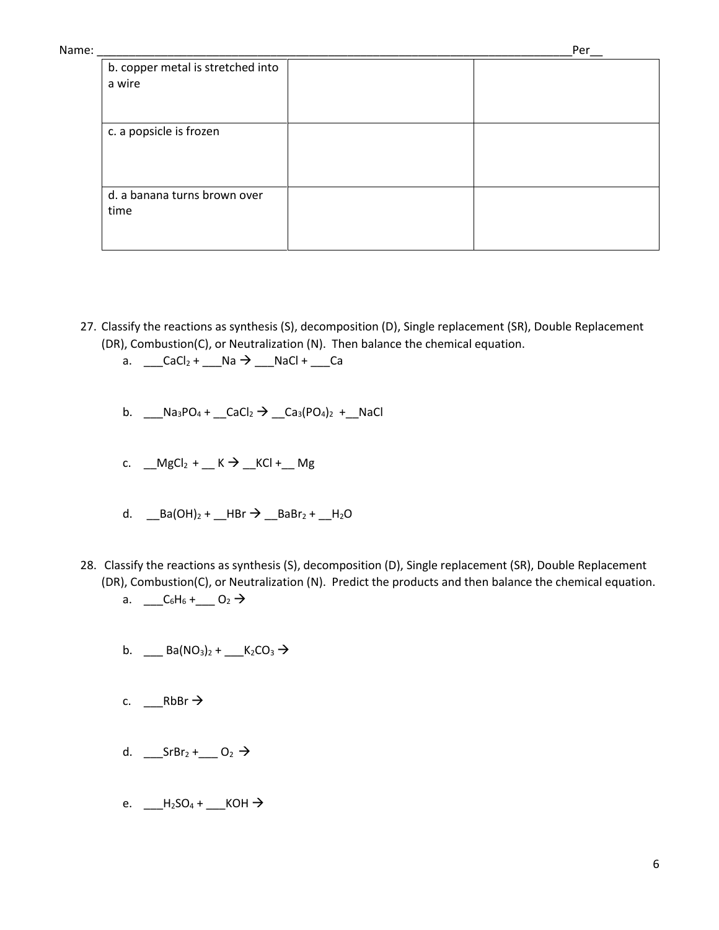| Name: |                                             | Per |
|-------|---------------------------------------------|-----|
|       | b. copper metal is stretched into<br>a wire |     |
|       | c. a popsicle is frozen                     |     |
|       | d. a banana turns brown over<br>time        |     |

- 27. Classify the reactions as synthesis (S), decomposition (D), Single replacement (SR), Double Replacement (DR), Combustion(C), or Neutralization (N). Then balance the chemical equation.
	- a.  $\_\_Cacl_2 + \_\_Na \rightarrow \_\_NaCl + \_\_Ca$
	- b. \_\_\_Na<sub>3</sub>PO<sub>4</sub> + \_\_CaCl<sub>2</sub>  $\rightarrow$  \_\_Ca<sub>3</sub>(PO<sub>4</sub>)<sub>2</sub> + \_\_NaCl
	- c.  $MgCl_2 + K \rightarrow KCl + Mg$
	- d.  $_Ba(OH)_2 + HBr \rightarrow BaBr_2 + H_2O$
- 28. Classify the reactions as synthesis (S), decomposition (D), Single replacement (SR), Double Replacement (DR), Combustion(C), or Neutralization (N). Predict the products and then balance the chemical equation.
	- a.  $C_6H_6 +$   $O_2 \rightarrow$
	- b. \_\_\_ Ba(NO<sub>3</sub>)<sub>2</sub> + \_\_\_ K<sub>2</sub>CO<sub>3</sub>  $\rightarrow$
	- c. \_\_\_RbBr
	- d.  $\_\_SrBr_2 + \_\_O_2 \rightarrow$
	- e.  $\_\_\_\$ H<sub>2</sub>SO<sub>4</sub> +  $\_\_\$ KOH  $\rightarrow$